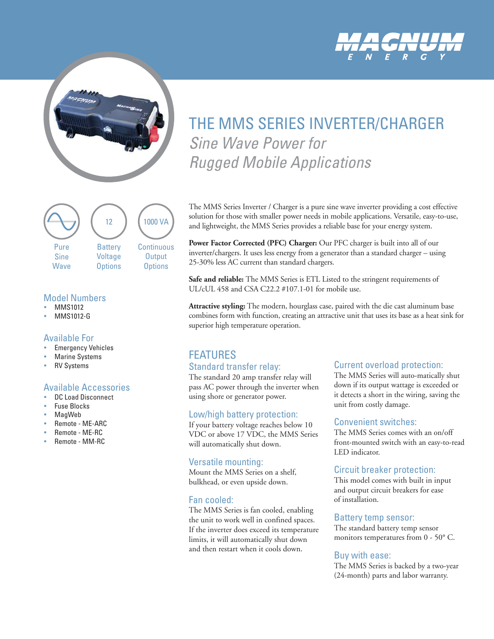



#### **Battery** Voltage **Options** 12 **Continuous Output Options** 1000 VA Pure Sine **Wave**

### Model Numbers

- MMS1012
- MMS1012-G

#### Available For

- **Emergency Vehicles**
- **Marine Systems**
- **RV Systems**

#### Available Accessories

- DC Load Disconnect
- **Fuse Blocks**
- MagWeb
- Remote ME-ARC
- Remote ME-RC
- yy Remote MM-RC

# THE MMS SERIES INVERTER/CHARGER Sine Wave Power for Rugged Mobile Applications

The MMS Series Inverter / Charger is a pure sine wave inverter providing a cost effective solution for those with smaller power needs in mobile applications. Versatile, easy-to-use, and lightweight, the MMS Series provides a reliable base for your energy system.

**Power Factor Corrected (PFC) Charger:** Our PFC charger is built into all of our inverter/chargers. It uses less energy from a generator than a standard charger – using 25-30% less AC current than standard chargers.

**Safe and reliable:** The MMS Series is ETL Listed to the stringent requirements of UL/cUL 458 and CSA C22.2 #107.1-01 for mobile use.

**Attractive styling:** The modern, hourglass case, paired with the die cast aluminum base combines form with function, creating an attractive unit that uses its base as a heat sink for superior high temperature operation.

## FEATURES

#### Standard transfer relay:

The standard 20 amp transfer relay will pass AC power through the inverter when using shore or generator power.

#### Low/high battery protection:

If your battery voltage reaches below 10 VDC or above 17 VDC, the MMS Series will automatically shut down.

#### Versatile mounting:

Mount the MMS Series on a shelf, bulkhead, or even upside down.

#### Fan cooled:

The MMS Series is fan cooled, enabling the unit to work well in confined spaces. If the inverter does exceed its temperature limits, it will automatically shut down and then restart when it cools down.

#### Current overload protection:

The MMS Series will auto-matically shut down if its output wattage is exceeded or it detects a short in the wiring, saving the unit from costly damage.

#### Convenient switches:

The MMS Series comes with an on/off front-mounted switch with an easy-to-read LED indicator.

#### Circuit breaker protection:

This model comes with built in input and output circuit breakers for ease of installation.

#### Battery temp sensor:

The standard battery temp sensor monitors temperatures from 0 - 50° C.

#### Buy with ease:

The MMS Series is backed by a two-year (24-month) parts and labor warranty.